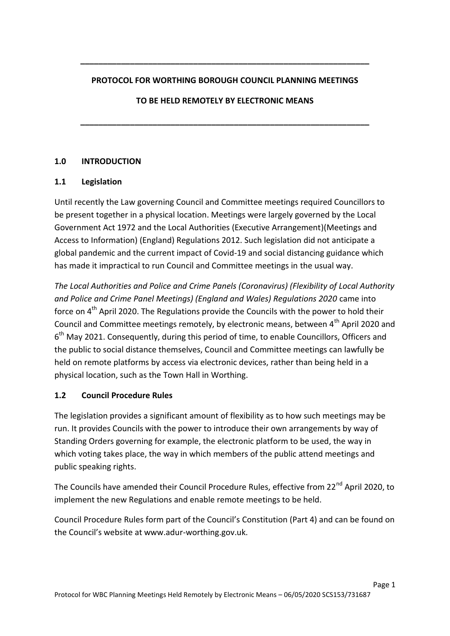#### **PROTOCOL FOR WORTHING BOROUGH COUNCIL PLANNING MEETINGS**

 **TO BE HELD REMOTELY BY ELECTRONIC MEANS** 

**\_\_\_\_\_\_\_\_\_\_\_\_\_\_\_\_\_\_\_\_\_\_\_\_\_\_\_\_\_\_\_\_\_\_\_\_\_\_\_\_\_\_\_\_\_\_\_\_\_\_\_\_\_\_\_\_\_\_\_\_\_\_\_\_** 

### **1.0 INTRODUCTION**

### **1.1 Legislation**

 Until recently the Law governing Council and Committee meetings required Councillors to be present together in a physical location. Meetings were largely governed by the Local Government Act 1972 and the Local Authorities (Executive Arrangement)(Meetings and Access to Information) (England) Regulations 2012. Such legislation did not anticipate a global pandemic and the current impact of Covid-19 and social distancing guidance which has made it impractical to run Council and Committee meetings in the usual way.

 *The Local Authorities and Police and Crime Panels (Coronavirus) (Flexibility of Local Authority and Police and Crime Panel Meetings) (England and Wales) Regulations 2020* came into force on  $4^{\text{th}}$  April 2020. The Regulations provide the Councils with the power to hold their Council and Committee meetings remotely, by electronic means, between 4<sup>th</sup> April 2020 and  $6<sup>th</sup>$  May 2021. Consequently, during this period of time, to enable Councillors, Officers and the public to social distance themselves, Council and Committee meetings can lawfully be held on remote platforms by access via electronic devices, rather than being held in a physical location, such as the Town Hall in Worthing. **PROTOCOL FOR WORTHIMG BOROUGH COUNCIL PLANNING MEETINGS**<br> **TO BE HELD REMOTELY BY ELECTRONIC MEANS**<br> **LECTRONIC MEANS**<br> **LECTRONIC MEANS**<br> **LECTRONIC MEANS**<br> **LECTRONIC MEANS**<br> **LECTRONIC MEANS**<br> **LECTRONIC MEANS**<br> **LECTR** 

#### $1.2$ **1.2 Council Procedure Rules**

 The legislation provides a significant amount of flexibility as to how such meetings may be run. It provides Councils with the power to introduce their own arrangements by way of Standing Orders governing for example, the electronic platform to be used, the way in which voting takes place, the way in which members of the public attend meetings and public speaking rights.

The Councils have amended their Council Procedure Rules, effective from 22<sup>nd</sup> April 2020, to implement the new Regulations and enable remote meetings to be held.

 Council Procedure Rules form part of the Council's Constitution (Part 4) and can be found on the Council's website at www.adur[-worthing.gov.uk](www.adur-worthing.gov.uk).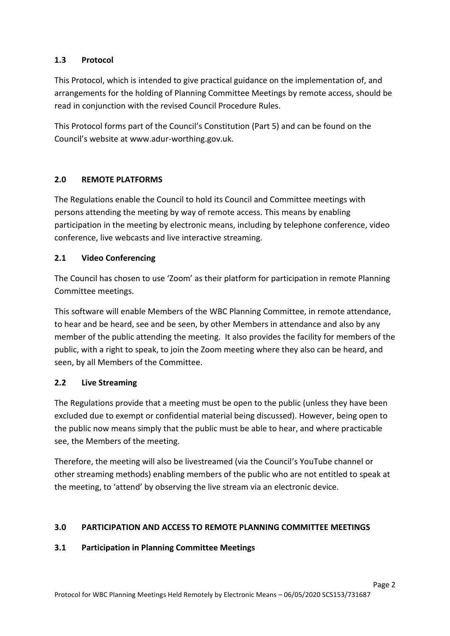#### $1.3$ Protocol

 This Protocol, which is intended to give practical guidance on the implementation of, and arrangements for the holding of Planning Committee Meetings by remote access, should be read in conjunction with the revised Council Procedure Rules.

 This Protocol forms part of the Council's Constitution (Part 5) and can be found on the Council's website at www.adur[-worthing.gov.uk](www.adur-worthing.gov.uk).

### **2.0 REMOTE PLATFORMS**

 The Regulations enable the Council to hold its Council and Committee meetings with persons attending the meeting by way of remote access. This means by enabling participation in the meeting by electronic means, including by telephone conference, video tw Outmet cit conference, live webcasts and live interactive streaming.

### **2.1 Video Conferencing**

 The Council has chosen to use 'Zoom' as their platform for participation in remote Planning Committee meetings.

Committee meetings.<br>This software will enable Members of the WBC Planning Committee, in remote attendance, to hear and be heard, see and be seen, by other Members in attendance and also by any member of the public attending the meeting. It also provides the facility for members of the public, with a right to speak, to join the Zoom meeting where they also can be heard, and seen, by all Members of the Committee. **1.3 Protocol**<br>This Protocol, wh<br>arrangements fo<br>read in conjuncti<br>This Protocol for<br>Council's website<br>**2.0 REMOTE**<br>The Regulations<br>persons attendire participation in t<br>conference, live<br>**2.1 Video Co**<br>The Council has (<br>Com

#### $2.2$ **2.2 Live Streaming**

 The Regulations provide that a meeting must be open to the public (unless they have been excluded due to exempt or confidential material being discussed). However, being open to the public now means simply that the public must be able to hear, and where practicable see, the Members of the meeting.

 other streaming methods) enabling members of the public who are not entitled to speak at the meeting, to 'attend' by observing the live stream via an electronic device. Therefore, the meeting will also be livestreamed (via the Council's YouTube channel or

## **3.0 PARTICIPATION AND ACCESS TO REMOTE PLANNING COMMITTEE MEETINGS**

### **3.1 Participation in Planning Committee Meetings**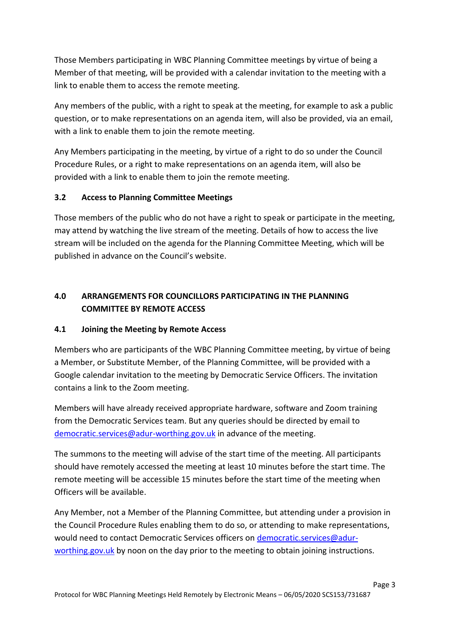Those Members participating in WBC Planning Committee meetings by virtue of being a Member of that meeting, will be provided with a calendar invitation to the meeting with a link to enable them to access the remote meeting.

 Any members of the public, with a right to speak at the meeting, for example to ask a public question, or to make representations on an agenda item, will also be provided, via an email, with a link to enable them to join the remote meeting.

 Any Members participating in the meeting, by virtue of a right to do so under the Council Procedure Rules, or a right to make representations on an agenda item, will also be provided with a link to enable them to join the remote meeting.

## **3.2 Access to Planning Committee Meetings**

 Those members of the public who do not have a right to speak or participate in the meeting, may attend by watching the live stream of the meeting. Details of how to access the live stream will be included on the agenda for the Planning Committee Meeting, which will be published in advance on the Council's website.

# **4.0 ARRANGEMENTS FOR COUNCILLORS PARTICIPATING IN THE PLANNING COMMITTEE BY REMOTE ACCESS**

#### **4.1 Joining the Meeting by Remote Access**

 Members who are participants of the WBC Planning Committee meeting, by virtue of being a Member, or Substitute Member, of the Planning Committee, will be provided with a Google calendar invitation to the meeting by Democratic Service Officers. The invitation contains a link to the Zoom meeting.

 Members will have already received appropriate hardware, software and Zoom training from the Democratic Services team. But any queries should be directed by email to [democratic.services@adur-worthing.gov.uk](mailto:democratic.services@adur-worthing.gov.uk) in advance of the meeting.

 The summons to the meeting will advise of the start time of the meeting. All participants should have remotely accessed the meeting at least 10 minutes before the start time. The remote meeting will be accessible 15 minutes before the start time of the meeting when Officers will be available.

 Any Member, not a Member of the Planning Committee, but attending under a provision in the Council Procedure Rules enabling them to do so, or attending to make representations, would need to contact Democratic Services officers on <u>democratic.services@adur-</u> [worthing.gov.uk](mailto:democratic.services@adur-worthing.gov.uk) by noon on the day prior to the meeting to obtain joining instructions.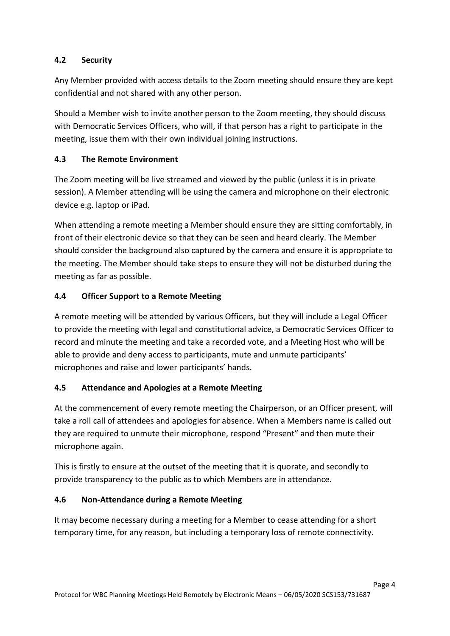#### **Security**

 Any Member provided with access details to the Zoom meeting should ensure they are kept confidential and not shared with any other person.

 Should a Member wish to invite another person to the Zoom meeting, they should discuss with Democratic Services Officers, who will, if that person has a right to participate in the meeting, issue them with their own individual joining instructions.

#### **4.3 The Remote Environment**

 The Zoom meeting will be live streamed and viewed by the public (unless it is in private session). A Member attending will be using the camera and microphone on their electronic device e.g. laptop or iPad.

 When attending a remote meeting a Member should ensure they are sitting comfortably, in front of their electronic device so that they can be seen and heard clearly. The Member should consider the background also captured by the camera and ensure it is appropriate to the meeting. The Member should take steps to ensure they will not be disturbed during the meeting as far as possible. **4.2 Security**<br>
Any Member provide<br>
confidential and not<br>
Should a Member wi<br>
with Democratic Sern<br>
meeting, issue them<br> **4.3 The Remote I**<br>
The Zoom meeting w<br>
session). A Member is<br>
device e.g. laptop or<br>
When attending

#### **4.4 Officer Support to a Remote Meeting**

 A remote meeting will be attended by various Officers, but they will include a Legal Officer to provide the meeting with legal and constitutional advice, a Democratic Services Officer to record and minute the meeting and take a recorded vote, and a Meeting Host who will be able to provide and deny access to participants, mute and unmute participants' microphones and raise and lower participants' hands.

## **4.5 Attendance and Apologies at a Remote Meeting**

 At the commencement of every remote meeting the Chairperson, or an Officer present, will take a roll call of attendees and apologies for absence. When a Members name is called out they are required to unmute their microphone, respond "Present" and then mute their microphone again.

 This is firstly to ensure at the outset of the meeting that it is quorate, and secondly to provide transparency to the public as to which Members are in attendance.

### **4.6 Non-Attendance during a Remote Meeting**

 It may become necessary during a meeting for a Member to cease attending for a short temporary time, for any reason, but including a temporary loss of remote connectivity.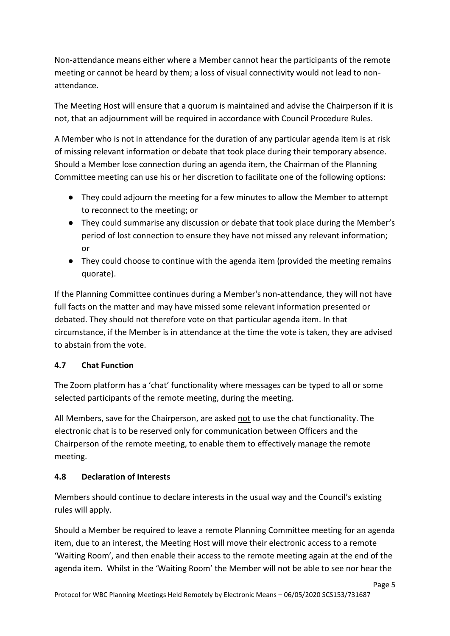Non-attendance means either where a Member cannot hear the participants of the remote meeting or cannot be heard by them; a loss of visual connectivity would not lead to nonattendance.

 The Meeting Host will ensure that a quorum is maintained and advise the Chairperson if it is not, that an adjournment will be required in accordance with Council Procedure Rules.

 A Member who is not in attendance for the duration of any particular agenda item is at risk of missing relevant information or debate that took place during their temporary absence. Should a Member lose connection during an agenda item, the Chairman of the Planning Committee meeting can use his or her discretion to facilitate one of the following options:

- ● They could adjourn the meeting for a few minutes to allow the Member to attempt to reconnect to the meeting; or
- ● They could summarise any discussion or debate that took place during the Member's period of lost connection to ensure they have not missed any relevant information; or
- ● They could choose to continue with the agenda item (provided the meeting remains quorate).

 full facts on the matter and may have missed some relevant information presented or debated. They should not therefore vote on that particular agenda item. In that circumstance, if the Member is in attendance at the time the vote is taken, they are advised to abstain from the vote. If the Planning Committee continues during a Member's non-attendance, they will not have

### **4.7 Chat Function**

 The Zoom platform has a 'chat' functionality where messages can be typed to all or some selected participants of the remote meeting, during the meeting.

All Members, save for the Chairperson, are asked not to use the chat functionality. The electronic chat is to be reserved only for communication between Officers and the Chairperson of the remote meeting, to enable them to effectively manage the remote m platform has a 'chat' functionality where messages can<br>participants of the remote meeting, during the meeting.<br>bers, save for the Chairperson, are asked <u>not</u> to use the c<br>ic chat is to be reserved only for communication meeting.

### **4.8 Declaration of Interests**

 Members should continue to declare interests in the usual way and the Council's existing rules will apply.

 Should a Member be required to leave a remote Planning Committee meeting for an agenda item, due to an interest, the Meeting Host will move their electronic access to a remote 'Waiting Room', and then enable their access to the remote meeting again at the end of the agenda item. Whilst in the 'Waiting Room' the Member will not be able to see nor hear the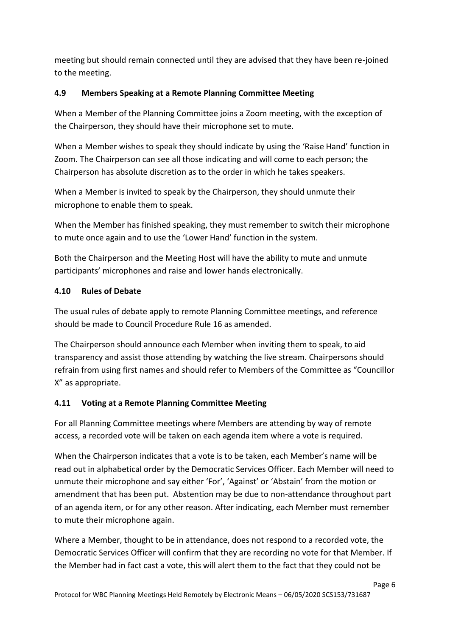meeting but should remain connected until they are advised that they have been re-joined to the meeting.

#### **4.9 Members Speaking at a Remote Planning Committee Meeting**

 When a Member of the Planning Committee joins a Zoom meeting, with the exception of the Chairperson, they should have their microphone set to mute.

 When a Member wishes to speak they should indicate by using the 'Raise Hand' function in Zoom. The Chairperson can see all those indicating and will come to each person; the Chairperson has absolute discretion as to the order in which he takes speakers.

 When a Member is invited to speak by the Chairperson, they should unmute their microphone to enable them to speak.

 When the Member has finished speaking, they must remember to switch their microphone to mute once again and to use the 'Lower Hand' function in the system.

 Both the Chairperson and the Meeting Host will have the ability to mute and unmute participants' microphones and raise and lower hands electronically.

### **4.10 Rules of Debate**

 The usual rules of debate apply to remote Planning Committee meetings, and reference should be made to Council Procedure Rule 16 as amended.

 The Chairperson should announce each Member when inviting them to speak, to aid transparency and assist those attending by watching the live stream. Chairpersons should refrain from using first names and should refer to Members of the Committee as "Councillor Member wishes to speak t<br>the Chairperson can see all<br>rson has absolute discretio<br>Member is invited to spea<br>none to enable them to spea<br>ne Member has finished sp<br>once again and to use the<br>elfonce again and to use the<br>Perman meeting but should remain connected until they are advised that they have been re-joined<br>to the meeting.<br>4.9 Members Speaking at a Remote Planning Committee Meeting<br>When a Member of the Planning Committee joins a Zoom meet X" as appropriate.

#### **4.11 Voting at a Remote Planning Committee Meeting**

 For all Planning Committee meetings where Members are attending by way of remote access, a recorded vote will be taken on each agenda item where a vote is required.

 When the Chairperson indicates that a vote is to be taken, each Member's name will be read out in alphabetical order by the Democratic Services Officer. Each Member will need to unmute their microphone and say either 'For', 'Against' or 'Abstain' from the motion or amendment that has been put. Abstention may be due to non-attendance throughout part of an agenda item, or for any other reason. After indicating, each Member must remember to mute their microphone again.

 Where a Member, thought to be in attendance, does not respond to a recorded vote, the Democratic Services Officer will confirm that they are recording no vote for that Member. If the Member had in fact cast a vote, this will alert them to the fact that they could not be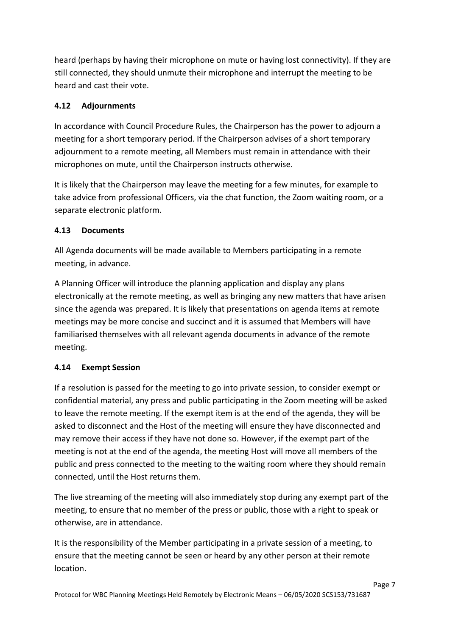heard (perhaps by having their microphone on mute or having lost connectivity). If they are still connected, they should unmute their microphone and interrupt the meeting to be heard and cast their vote.

## **4.12 Adjournments**

 In accordance with Council Procedure Rules, the Chairperson has the power to adjourn a meeting for a short temporary period. If the Chairperson advises of a short temporary adjournment to a remote meeting, all Members must remain in attendance with their microphones on mute, until the Chairperson instructs otherwise.

 It is likely that the Chairperson may leave the meeting for a few minutes, for example to take advice from professional Officers, via the chat function, the Zoom waiting room, or a separate electronic platform.

### **4.13 Documents**

 meeting, in advance. All Agenda documents will be made available to Members participating in a remote

 A Planning Officer will introduce the planning application and display any plans electronically at the remote meeting, as well as bringing any new matters that have arisen since the agenda was prepared. It is likely that presentations on agenda items at remote meetings may be more concise and succinct and it is assumed that Members will have familiarised themselves with all relevant agenda documents in advance of the remote meeting.

### **4.14 Exempt Session**

 If a resolution is passed for the meeting to go into private session, to consider exempt or confidential material, any press and public participating in the Zoom meeting will be asked to leave the remote meeting. If the exempt item is at the end of the agenda, they will be asked to disconnect and the Host of the meeting will ensure they have disconnected and may remove their access if they have not done so. However, if the exempt part of the meeting is not at the end of the agenda, the meeting Host will move all members of the public and press connected to the meeting to the waiting room where they should remain connected, until the Host returns them.

 The live streaming of the meeting will also immediately stop during any exempt part of the meeting, to ensure that no member of the press or public, those with a right to speak or otherwise, are in attendance.

 It is the responsibility of the Member participating in a private session of a meeting, to ensure that the meeting cannot be seen or heard by any other person at their remote location. location.<br>Page 7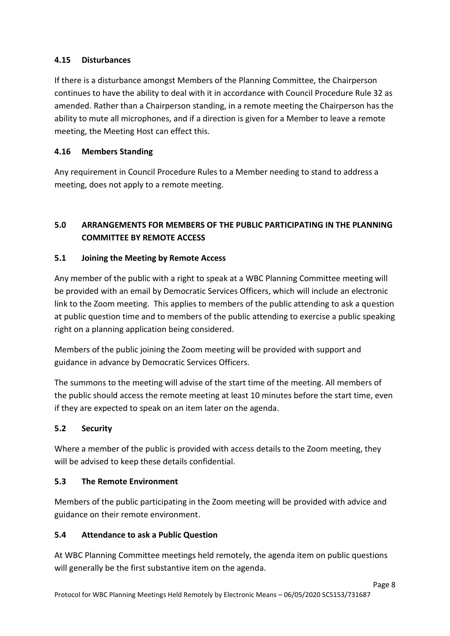### **4.15 Disturbances**

 If there is a disturbance amongst Members of the Planning Committee, the Chairperson continues to have the ability to deal with it in accordance with Council Procedure Rule 32 as amended. Rather than a Chairperson standing, in a remote meeting the Chairperson has the ability to mute all microphones, and if a direction is given for a Member to leave a remote meeting, the Meeting Host can effect this.

## **4.16 Members Standing**

 Any requirement in Council Procedure Rules to a Member needing to stand to address a meeting, does not apply to a remote meeting.

## **5.0 ARRANGEMENTS FOR MEMBERS OF THE PUBLIC PARTICIPATING IN THE PLANNING COMMITTEE BY REMOTE ACCESS**

#### **5.1 Joining the Meeting by Remote Access**

 Any member of the public with a right to speak at a WBC Planning Committee meeting will be provided with an email by Democratic Services Officers, which will include an electronic link to the Zoom meeting. This applies to members of the public attending to ask a question at public question time and to members of the public attending to exercise a public speaking right on a planning application being considered.

 Members of the public joining the Zoom meeting will be provided with support and guidance in advance by Democratic Services Officers.

 The summons to the meeting will advise of the start time of the meeting. All members of the public should access the remote meeting at least 10 minutes before the start time, even if they are expected to speak on an item later on the agenda.

#### $5.2$ **5.2 Security**

 Where a member of the public is provided with access details to the Zoom meeting, they will be advised to keep these details confidential.

#### **5.3 The Remote Environment**

 Members of the public participating in the Zoom meeting will be provided with advice and guidance on their remote environment.

### **5.4 Attendance to ask a Public Question**

 At WBC Planning Committee meetings held remotely, the agenda item on public questions will generally be the first substantive item on the agenda.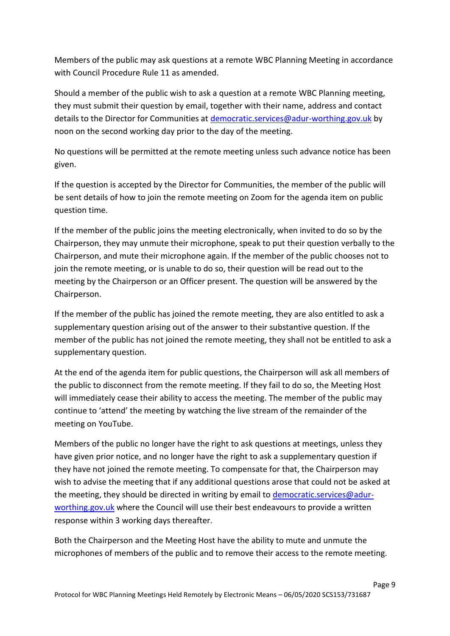Members of the public may ask questions at a remote WBC Planning Meeting in accordance with Council Procedure Rule 11 as amended.

 Should a member of the public wish to ask a question at a remote WBC Planning meeting, they must submit their question by email, together with their name, address and contact details to the Director for Communities at **democratic.services@adur-worthing.gov.uk** by noon on the second working day prior to the day of the meeting.

 No questions will be permitted at the remote meeting unless such advance notice has been given.

 If the question is accepted by the Director for Communities, the member of the public will be sent details of how to join the remote meeting on Zoom for the agenda item on public question time.

 If the member of the public joins the meeting electronically, when invited to do so by the Chairperson, they may unmute their microphone, speak to put their question verbally to the Chairperson, and mute their microphone again. If the member of the public chooses not to join the remote meeting, or is unable to do so, their question will be read out to the meeting by the Chairperson or an Officer present. The question will be answered by the Members of the public may ask questions at a remote WBC Planning Meeting in accordance<br>with Council Procedure Rule 11 as a mended.<br>Chould a member of the public wish to ask a question at a remote WBC Planning meeting,<br>Shou Chairperson.

 If the member of the public has joined the remote meeting, they are also entitled to ask a supplementary question arising out of the answer to their substantive question. If the member of the public has not joined the remote meeting, they shall not be entitled to ask a supplementary question.

 At the end of the agenda item for public questions, the Chairperson will ask all members of the public to disconnect from the remote meeting. If they fail to do so, the Meeting Host will immediately cease their ability to access the meeting. The member of the public may continue to 'attend' the meeting by watching the live stream of the remainder of the meeting on YouTube.

 Members of the public no longer have the right to ask questions at meetings, unless they have given prior notice, and no longer have the right to ask a supplementary question if they have not joined the remote meeting. To compensate for that, the Chairperson may wish to advise the meeting that if any additional questions arose that could not be asked at the meeting, they should be directed in writing by email to **democratic.services@adur**[worthing.gov.uk](mailto:democratic.services@adur-worthing.gov.uk) where the Council will use their best endeavours to provide a written response within 3 working days thereafter.

 Both the Chairperson and the Meeting Host have the ability to mute and unmute the microphones of members of the public and to remove their access to the remote meeting.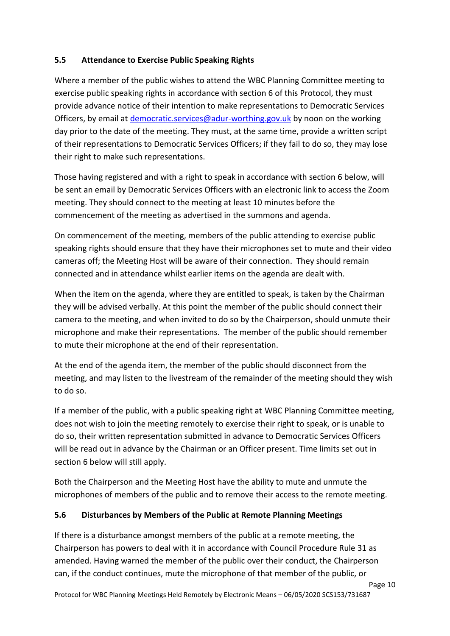## **5.5 Attendance to Exercise Public Speaking Rights**

 Where a member of the public wishes to attend the WBC Planning Committee meeting to exercise public speaking rights in accordance with section 6 of this Protocol, they must provide advance notice of their intention to make representations to Democratic Services Officers, by email at *democratic.services@adur-worthing.gov.uk* by noon on the working day prior to the date of the meeting. They must, at the same time, provide a written script of their representations to Democratic Services Officers; if they fail to do so, they may lose their right to make such representations.

 Those having registered and with a right to speak in accordance with section 6 below, will be sent an email by Democratic Services Officers with an electronic link to access the Zoom meeting. They should connect to the meeting at least 10 minutes before the commencement of the meeting as advertised in the summons and agenda.

 On commencement of the meeting, members of the public attending to exercise public speaking rights should ensure that they have their microphones set to mute and their video cameras off; the Meeting Host will be aware of their connection. They should remain connected and in attendance whilst earlier items on the agenda are dealt with.

 When the item on the agenda, where they are entitled to speak, is taken by the Chairman they will be advised verbally. At this point the member of the public should connect their camera to the meeting, and when invited to do so by the Chairperson, should unmute their microphone and make their representations. The member of the public should remember to mute their microphone at the end of their representation.

 At the end of the agenda item, the member of the public should disconnect from the meeting, and may listen to the livestream of the remainder of the meeting should they wish to do so.

 If a member of the public, with a public speaking right at WBC Planning Committee meeting, does not wish to join the meeting remotely to exercise their right to speak, or is unable to do so, their written representation submitted in advance to Democratic Services Officers will be read out in advance by the Chairman or an Officer present. Time limits set out in section 6 below will still apply.

 Both the Chairperson and the Meeting Host have the ability to mute and unmute the microphones of members of the public and to remove their access to the remote meeting.

## **5.6 Disturbances by Members of the Public at Remote Planning Meetings**

 If there is a disturbance amongst members of the public at a remote meeting, the Chairperson has powers to deal with it in accordance with Council Procedure Rule 31 as amended. Having warned the member of the public over their conduct, the Chairperson can, if the conduct continues, mute the microphone of that member of the public, or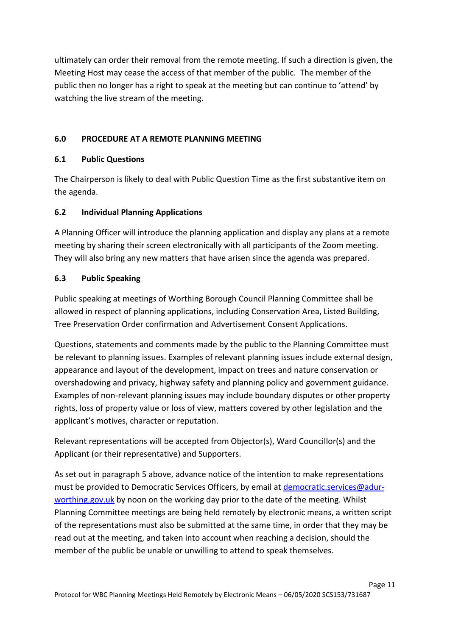ultimately can order their removal from the remote meeting. If such a direction is given, the Meeting Host may cease the access of that member of the public. The member of the public then no longer has a right to speak at the meeting but can continue to 'attend' by watching the live stream of the meeting.

### **6.0 PROCEDURE AT A REMOTE PLANNING MEETING**

#### **6.1 Public Questions**

 The Chairperson is likely to deal with Public Question Time as the first substantive item on the agenda.

## **6.2 Individual Planning Applications**

 A Planning Officer will introduce the planning application and display any plans at a remote meeting by sharing their screen electronically with all participants of the Zoom meeting. They will also bring any new matters that have arisen since the agenda was prepared.

#### **6.3 Public Speaking**

 Public speaking at meetings of Worthing Borough Council Planning Committee shall be allowed in respect of planning applications, including Conservation Area, Listed Building, Tree Preservation Order confirmation and Advertisement Consent Applications.

 Questions, statements and comments made by the public to the Planning Committee must be relevant to planning issues. Examples of relevant planning issues include external design, appearance and layout of the development, impact on trees and nature conservation or overshadowing and privacy, highway safety and planning policy and government guidance. rights, loss of property value or loss of view, matters covered by other legislation and the applicant's motives, character or reputation. then no longe<br>ing the live stre<br>**PROCEDURE**<br>**PROCEDURE**<br>**Public Questi**<br>nairperson is lil<br>enda.<br>**Individual Planning Officer wing by sharing t**<br>will also bring a<br>**Public Speaki**<br>speaking at m<br>**Public Speaki**<br>speaking at m<br> Examples of non-relevant planning issues may include boundary disputes or other property

 Relevant representations will be accepted from Objector(s), Ward Councillor(s) and the Applicant (or their representative) and Supporters.

 As set out in paragraph 5 above, advance notice of the intention to make representations must be provided to Democratic Services Officers, by email at [democratic.services@adur](mailto:democratic.services@adur-worthing.gov.uk)[worthing.gov.uk](mailto:democratic.services@adur-worthing.gov.uk) by noon on the working day prior to the date of the meeting. Whilst Planning Committee meetings are being held remotely by electronic means, a written script of the representations must also be submitted at the same time, in order that they may be read out at the meeting, and taken into account when reaching a decision, should the member of the public be unable or unwilling to attend to speak themselves.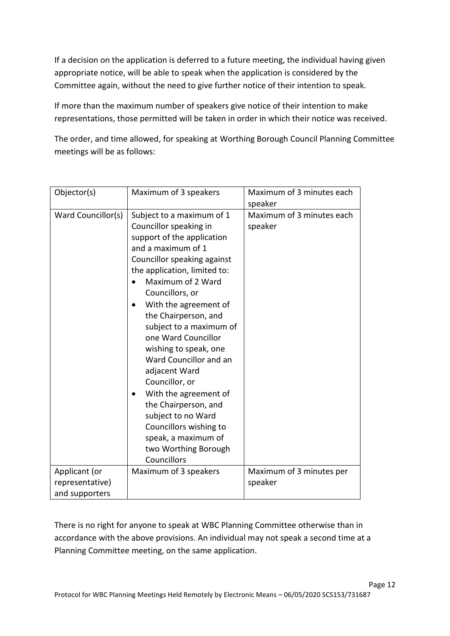If a decision on the application is deferred to a future meeting, the individual having given appropriate notice, will be able to speak when the application is considered by the Committee again, without the need to give further notice of their intention to speak.

 If more than the maximum number of speakers give notice of their intention to make representations, those permitted will be taken in order in which their notice was received.

 The order, and time allowed, for speaking at Worthing Borough Council Planning Committee meetings will be as follows:

| Objector(s)                      | Maximum of 3 speakers                                                                                                                                                                                                                                                                                                                                                                                                                                                                                                                                                  | Maximum of 3 minutes each<br>speaker |
|----------------------------------|------------------------------------------------------------------------------------------------------------------------------------------------------------------------------------------------------------------------------------------------------------------------------------------------------------------------------------------------------------------------------------------------------------------------------------------------------------------------------------------------------------------------------------------------------------------------|--------------------------------------|
| Ward Councillor(s)               | Subject to a maximum of 1<br>Councillor speaking in<br>support of the application<br>and a maximum of 1<br>Councillor speaking against<br>the application, limited to:<br>Maximum of 2 Ward<br>Councillors, or<br>With the agreement of<br>the Chairperson, and<br>subject to a maximum of<br>one Ward Councillor<br>wishing to speak, one<br>Ward Councillor and an<br>adjacent Ward<br>Councillor, or<br>With the agreement of<br>the Chairperson, and<br>subject to no Ward<br>Councillors wishing to<br>speak, a maximum of<br>two Worthing Borough<br>Councillors | Maximum of 3 minutes each<br>speaker |
| Applicant (or<br>representative) | Maximum of 3 speakers                                                                                                                                                                                                                                                                                                                                                                                                                                                                                                                                                  | Maximum of 3 minutes per<br>speaker  |
| and supporters                   |                                                                                                                                                                                                                                                                                                                                                                                                                                                                                                                                                                        |                                      |
|                                  |                                                                                                                                                                                                                                                                                                                                                                                                                                                                                                                                                                        |                                      |

 There is no right for anyone to speak at WBC Planning Committee otherwise than in accordance with the above provisions. An individual may not speak a second time at a Planning Committee meeting, on the same application.